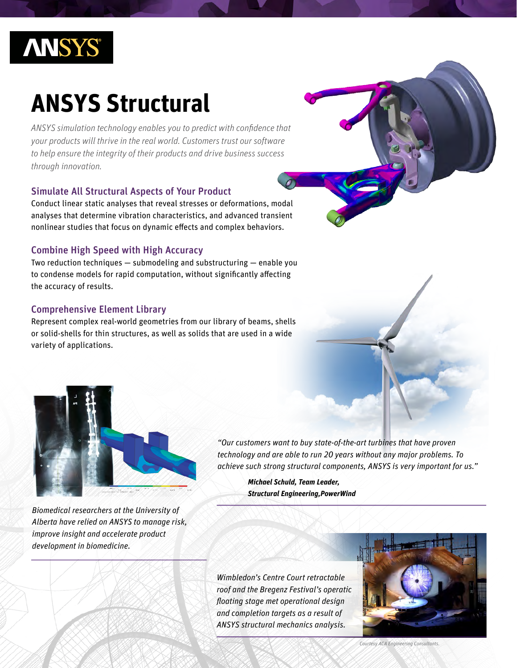

# **ANSYS Structural**

*ANSYS simulation technology enables you to predict with confidence that your products will thrive in the real world. Customers trust our software to help ensure the integrity of their products and drive business success through innovation.*

## Simulate All Structural Aspects of Your Product

Conduct linear static analyses that reveal stresses or deformations, modal analyses that determine vibration characteristics, and advanced transient nonlinear studies that focus on dynamic effects and complex behaviors.

## Combine High Speed with High Accuracy

Two reduction techniques — submodeling and substructuring — enable you to condense models for rapid computation, without significantly affecting the accuracy of results.

## Comprehensive Element Library

Represent complex real-world geometries from our library of beams, shells or solid-shells for thin structures, as well as solids that are used in a wide variety of applications.



*Biomedical researchers at the University of Alberta have relied on ANSYS to manage risk, improve insight and accelerate product development in biomedicine.*

*"Our customers want to buy state-of-the-art turbines that have proven technology and are able to run 20 years without any major problems. To achieve such strong structural components, ANSYS is very important for us."* 

> *Michael Schuld, Team Leader, Structural Engineering,PowerWind*

*Wimbledon's Centre Court retractable roof and the Bregenz Festival's operatic floating stage met operational design and completion targets as a result of ANSYS structural mechanics analysis.* 



*Courtesy ACA Engineering Consultants.*